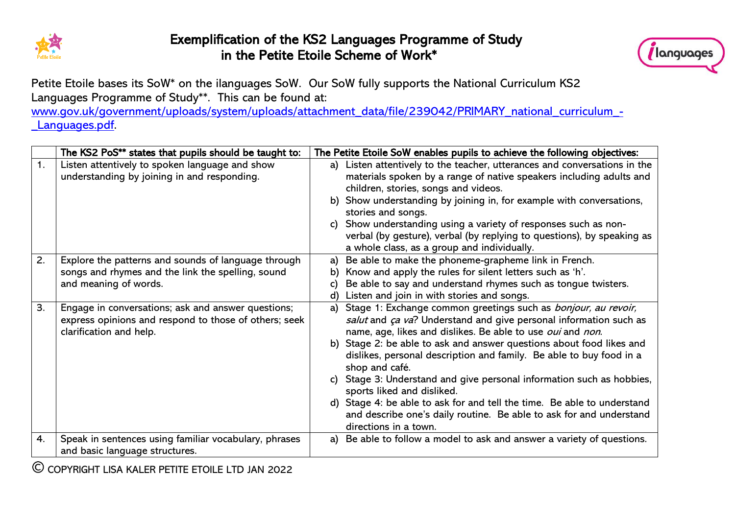

## Exemplification of the KS2 Languages Programme of Study in the Petite Etoile Scheme of Work\*



Petite Etoile bases its SoW\* on the ilanguages SoW. Our SoW fully supports the National Curriculum KS2 Languages Programme of Study\*\*. This can be found at:

[www.gov.uk/government/uploads/system/uploads/attachment\\_data/file/239042/PRIMARY\\_national\\_curriculum\\_-](http://www.gov.uk/government/uploads/system/uploads/attachment_data/file/239042/PRIMARY_national_curriculum_-_Languages.pdf) Languages.pdf.

|    | The KS2 PoS** states that pupils should be taught to:                                                                                  | The Petite Etoile SoW enables pupils to achieve the following objectives:                                                                                                                                                                                                                                                                                                                                                                                                                                                                                                                                                                                      |  |  |
|----|----------------------------------------------------------------------------------------------------------------------------------------|----------------------------------------------------------------------------------------------------------------------------------------------------------------------------------------------------------------------------------------------------------------------------------------------------------------------------------------------------------------------------------------------------------------------------------------------------------------------------------------------------------------------------------------------------------------------------------------------------------------------------------------------------------------|--|--|
| 1. | Listen attentively to spoken language and show<br>understanding by joining in and responding.                                          | Listen attentively to the teacher, utterances and conversations in the<br>a)<br>materials spoken by a range of native speakers including adults and<br>children, stories, songs and videos.<br>b) Show understanding by joining in, for example with conversations,<br>stories and songs.<br>Show understanding using a variety of responses such as non-<br>verbal (by gesture), verbal (by replying to questions), by speaking as<br>a whole class, as a group and individually.                                                                                                                                                                             |  |  |
| 2. | Explore the patterns and sounds of language through<br>songs and rhymes and the link the spelling, sound<br>and meaning of words.      | Be able to make the phoneme-grapheme link in French.<br>a)<br>Know and apply the rules for silent letters such as 'h'.<br>b)<br>Be able to say and understand rhymes such as tongue twisters.<br>Listen and join in with stories and songs.<br>d)                                                                                                                                                                                                                                                                                                                                                                                                              |  |  |
| 3. | Engage in conversations; ask and answer questions;<br>express opinions and respond to those of others; seek<br>clarification and help. | Stage 1: Exchange common greetings such as <i>bonjour, au revoir,</i><br>a)<br>salut and ça va? Understand and give personal information such as<br>name, age, likes and dislikes. Be able to use oui and non.<br>b) Stage 2: be able to ask and answer questions about food likes and<br>dislikes, personal description and family. Be able to buy food in a<br>shop and café.<br>Stage 3: Understand and give personal information such as hobbies,<br>sports liked and disliked.<br>d) Stage 4: be able to ask for and tell the time. Be able to understand<br>and describe one's daily routine. Be able to ask for and understand<br>directions in a town. |  |  |
| 4. | Speak in sentences using familiar vocabulary, phrases<br>and basic language structures.                                                | a) Be able to follow a model to ask and answer a variety of questions.                                                                                                                                                                                                                                                                                                                                                                                                                                                                                                                                                                                         |  |  |

COPYRIGHT LISA KALER PETITE ETOILE LTD JAN 2022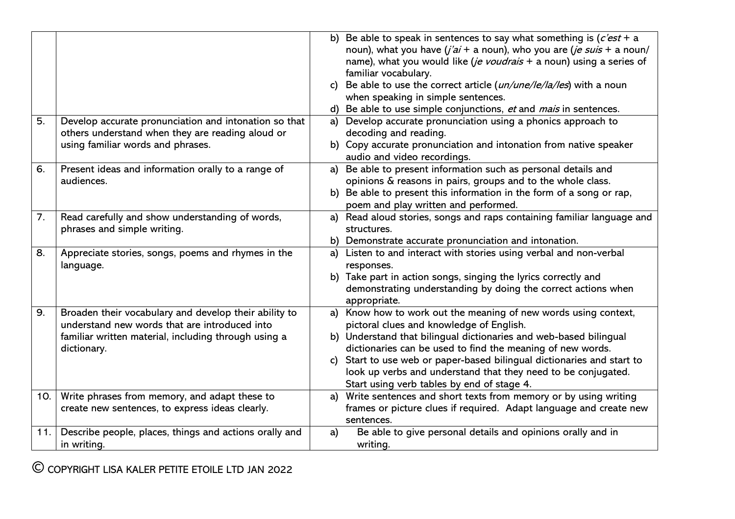| 5.  | Develop accurate pronunciation and intonation so that<br>others understand when they are reading aloud or<br>using familiar words and phrases.                                | $\mathsf{c}$<br>a) | b) Be able to speak in sentences to say what something is $(c'est + a$<br>noun), what you have $(j'ai + a$ noun), who you are $(j e suis + a$ noun/<br>name), what you would like (je voudrais + a noun) using a series of<br>familiar vocabulary.<br>Be able to use the correct article (un/une/le/la/les) with a noun<br>when speaking in simple sentences.<br>Be able to use simple conjunctions, et and mais in sentences.<br>Develop accurate pronunciation using a phonics approach to<br>decoding and reading.<br>b) Copy accurate pronunciation and intonation from native speaker |
|-----|-------------------------------------------------------------------------------------------------------------------------------------------------------------------------------|--------------------|--------------------------------------------------------------------------------------------------------------------------------------------------------------------------------------------------------------------------------------------------------------------------------------------------------------------------------------------------------------------------------------------------------------------------------------------------------------------------------------------------------------------------------------------------------------------------------------------|
|     |                                                                                                                                                                               |                    | audio and video recordings.                                                                                                                                                                                                                                                                                                                                                                                                                                                                                                                                                                |
| 6.  | Present ideas and information orally to a range of<br>audiences.                                                                                                              | a)                 | Be able to present information such as personal details and<br>opinions & reasons in pairs, groups and to the whole class.<br>b) Be able to present this information in the form of a song or rap,<br>poem and play written and performed.                                                                                                                                                                                                                                                                                                                                                 |
| 7.  | Read carefully and show understanding of words,<br>phrases and simple writing.                                                                                                | a)                 | Read aloud stories, songs and raps containing familiar language and<br>structures.<br>b) Demonstrate accurate pronunciation and intonation.                                                                                                                                                                                                                                                                                                                                                                                                                                                |
| 8.  | Appreciate stories, songs, poems and rhymes in the<br>language.                                                                                                               |                    | a) Listen to and interact with stories using verbal and non-verbal<br>responses.<br>b) Take part in action songs, singing the lyrics correctly and<br>demonstrating understanding by doing the correct actions when<br>appropriate.                                                                                                                                                                                                                                                                                                                                                        |
| 9.  | Broaden their vocabulary and develop their ability to<br>understand new words that are introduced into<br>familiar written material, including through using a<br>dictionary. | c)                 | a) Know how to work out the meaning of new words using context,<br>pictoral clues and knowledge of English.<br>b) Understand that bilingual dictionaries and web-based bilingual<br>dictionaries can be used to find the meaning of new words.<br>Start to use web or paper-based bilingual dictionaries and start to<br>look up verbs and understand that they need to be conjugated.<br>Start using verb tables by end of stage 4.                                                                                                                                                       |
| 10. | Write phrases from memory, and adapt these to<br>create new sentences, to express ideas clearly.                                                                              | a)                 | Write sentences and short texts from memory or by using writing<br>frames or picture clues if required. Adapt language and create new<br>sentences.                                                                                                                                                                                                                                                                                                                                                                                                                                        |
| 11. | Describe people, places, things and actions orally and<br>in writing.                                                                                                         | a)                 | Be able to give personal details and opinions orally and in<br>writing.                                                                                                                                                                                                                                                                                                                                                                                                                                                                                                                    |

COPYRIGHT LISA KALER PETITE ETOILE LTD JAN 2022